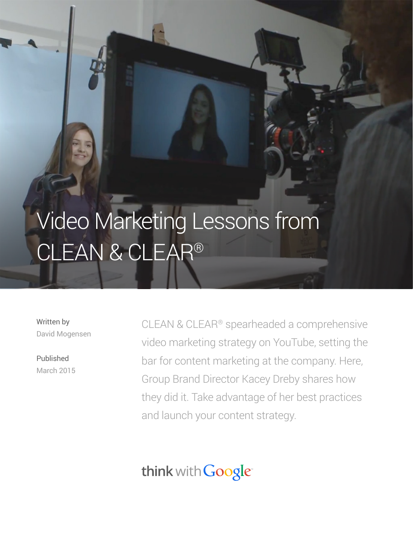# Video Marketing Lessons from CLEAN & CLEAR®

Written by David Mogensen

Published March 2015

CLEAN & CLEAR® spearheaded a comprehensive video marketing strategy on YouTube, setting the bar for content marketing at the company. Here, Group Brand Director Kacey Dreby shares how they did it. Take advantage of her best practices and launch your content strategy.

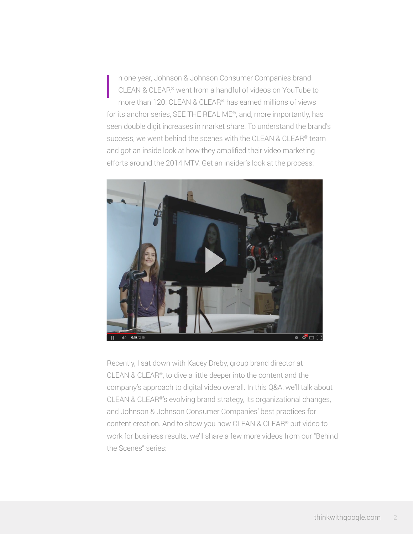n one year, Johnson & Johnson Consumer Companies brand CLEAN & CLEAR® went from a handful of videos on YouTube to more than 120. CLEAN & CLEAR® has earned millions of views for its anchor series, SEE THE REAL ME®, and, more importantly, has seen double digit increases in market share. To understand the brand's success, we went behind the scenes with the CLEAN & CLEAR® team and got an inside look at how they amplified their video marketing efforts around the 2014 MTV. Get an insider's look at the process: **International Control** 



Recently, I sat down with Kacey Dreby, group brand director at CLEAN & CLEAR®, to dive a little deeper into the content and the company's approach to digital video overall. In this Q&A, we'll talk about CLEAN & CLEAR®'s evolving brand strategy, its organizational changes, and Johnson & Johnson Consumer Companies' best practices for content creation. And to show you how CLEAN & CLEAR® put video to work for business results, we'll share a few more videos from our "Behind the Scenes" series: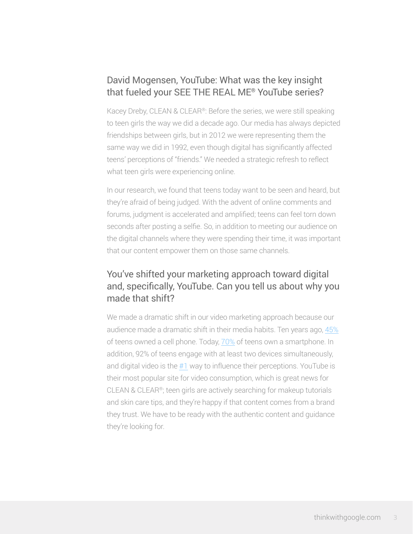## David Mogensen, YouTube: What was the key insight that fueled your SEE THE REAL ME® YouTube series?

Kacey Dreby, CLEAN & CLEAR®: Before the series, we were still speaking to teen girls the way we did a decade ago. Our media has always depicted friendships between girls, but in 2012 we were representing them the same way we did in 1992, even though digital has significantly affected teens' perceptions of "friends." We needed a strategic refresh to reflect what teen girls were experiencing online.

In our research, we found that teens today want to be seen and heard, but they're afraid of being judged. With the advent of online comments and forums, judgment is accelerated and amplified; teens can feel torn down seconds after posting a selfie. So, in addition to meeting our audience on the digital channels where they were spending their time, it was important that our content empower them on those same channels.

## You've shifted your marketing approach toward digital and, specifically, YouTube. Can you tell us about why you made that shift?

We made a dramatic shift in our video marketing approach because our audience made a dramatic shift in their media habits. Ten years ago, [45%](http://www.pewinternet.org/2009/08/19/teens-and-mobile-phones-over-the-past-five-years-pew-internet-looks-back/) of teens owned a cell phone. Today, [70%](http://www.nielsen.com/us/en/insights/news/2013/ring-the-bells-more-smartphones-in-students-hands-ahead-of-back.html) of teens own a smartphone. In addition, 92% of teens engage with at least two devices simultaneously, and digital video is the [#1](https://www.thinkwithgoogle.com/infographics/the-media-habits-of-teens-and-young-adults.html) way to influence their perceptions. YouTube is their most popular site for video consumption, which is great news for CLEAN & CLEAR®; teen girls are actively searching for makeup tutorials and skin care tips, and they're happy if that content comes from a brand they trust. We have to be ready with the authentic content and guidance they're looking for.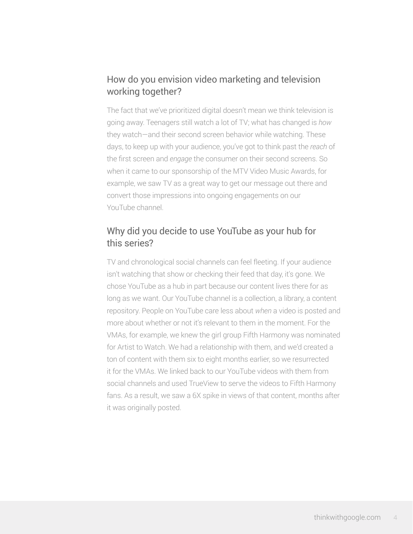## How do you envision video marketing and television working together?

The fact that we've prioritized digital doesn't mean we think television is going away. Teenagers still watch a lot of TV; what has changed is *how* they watch—and their second screen behavior while watching. These days, to keep up with your audience, you've got to think past the *reach* of the first screen and *engage* the consumer on their second screens. So when it came to our sponsorship of the MTV Video Music Awards, for example, we saw TV as a great way to get our message out there and convert those impressions into ongoing engagements on our YouTube channel.

## Why did you decide to use YouTube as your hub for this series?

TV and chronological social channels can feel fleeting. If your audience isn't watching that show or checking their feed that day, it's gone. We chose YouTube as a hub in part because our content lives there for as long as we want. Our YouTube channel is a collection, a library, a content repository. People on YouTube care less about *when* a video is posted and more about whether or not it's relevant to them in the moment. For the VMAs, for example, we knew the girl group Fifth Harmony was nominated for Artist to Watch. We had a relationship with them, and we'd created a ton of content with them six to eight months earlier, so we resurrected it for the VMAs. We linked back to our YouTube videos with them from social channels and used TrueView to serve the videos to Fifth Harmony fans. As a result, we saw a 6X spike in views of that content, months after it was originally posted.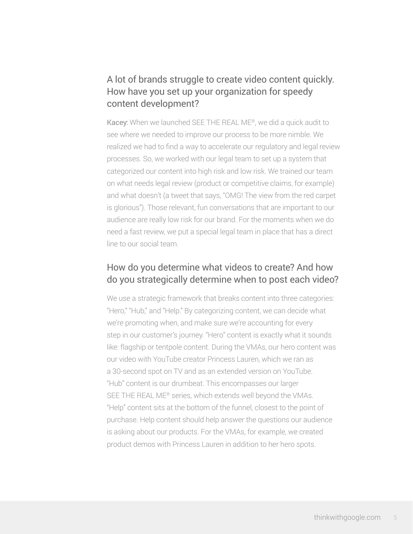## A lot of brands struggle to create video content quickly. How have you set up your organization for speedy content development?

Kacey: When we launched SEE THE REAL ME®, we did a quick audit to see where we needed to improve our process to be more nimble. We realized we had to find a way to accelerate our regulatory and legal review processes. So, we worked with our legal team to set up a system that categorized our content into high risk and low risk. We trained our team on what needs legal review (product or competitive claims, for example) and what doesn't (a tweet that says, "OMG! The view from the red carpet is glorious"). Those relevant, fun conversations that are important to our audience are really low risk for our brand. For the moments when we do need a fast review, we put a special legal team in place that has a direct line to our social team.

#### How do you determine what videos to create? And how do you strategically determine when to post each video?

We use a strategic framework that breaks content into three categories: "Hero," "Hub," and "Help." By categorizing content, we can decide what we're promoting when, and make sure we're accounting for every step in our customer's journey. "Hero" content is exactly what it sounds like: flagship or tentpole content. During the VMAs, our hero content was our video with YouTube creator Princess Lauren, which we ran as a 30-second spot on TV and as an extended version on YouTube. "Hub" content is our drumbeat. This encompasses our larger SEE THE REAL ME® series, which extends well beyond the VMAs. "Help" content sits at the bottom of the funnel, closest to the point of purchase. Help content should help answer the questions our audience is asking about our products. For the VMAs, for example, we created product demos with Princess Lauren in addition to her hero spots.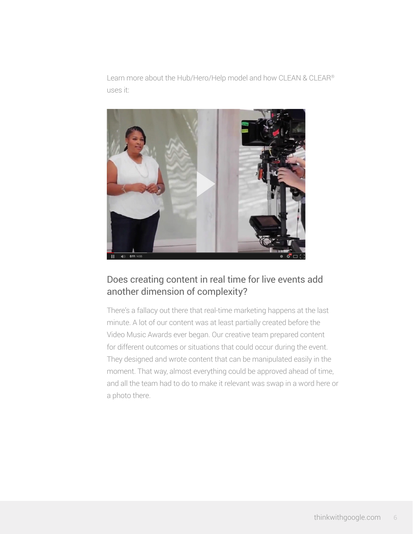Learn more about the Hub/Hero/Help model and how CLEAN & CLEAR® uses it:



## Does creating content in real time for live events add another dimension of complexity?

There's a fallacy out there that real-time marketing happens at the last minute. A lot of our content was at least partially created before the Video Music Awards ever began. Our creative team prepared content for different outcomes or situations that could occur during the event. They designed and wrote content that can be manipulated easily in the moment. That way, almost everything could be approved ahead of time, and all the team had to do to make it relevant was swap in a word here or a photo there.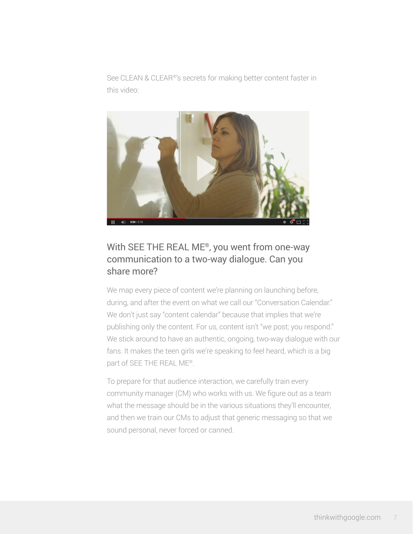See CLEAN & CLEAR®'s secrets for making better content faster in this video:



#### With SEE THE REAL ME®, you went from one-way communication to a two-way dialogue. Can you share more?

We map every piece of content we're planning on launching before, during, and after the event on what we call our "Conversation Calendar." We don't just say "content calendar" because that implies that we're publishing only the content. For us, content isn't "we post; you respond." We stick around to have an authentic, ongoing, two-way dialogue with our fans. It makes the teen girls we're speaking to feel heard, which is a big part of SEE THE REAL ME®.

To prepare for that audience interaction, we carefully train every community manager (CM) who works with us. We figure out as a team what the message should be in the various situations they'll encounter, and then we train our CMs to adjust that generic messaging so that we sound personal, never forced or canned.